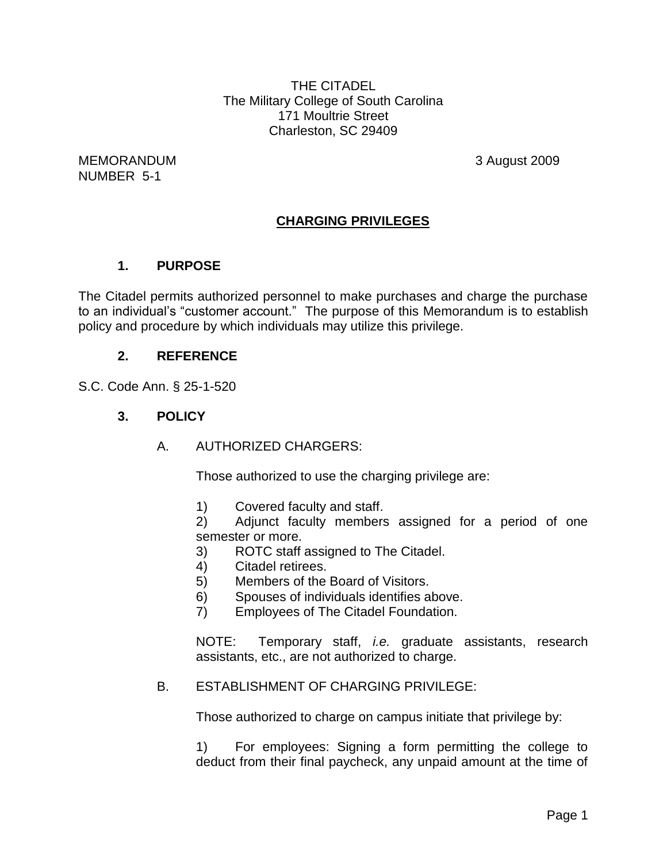THE CITADEL The Military College of South Carolina 171 Moultrie Street Charleston, SC 29409

MEMORANDUM 3 August 2009 NUMBER 5-1

# **CHARGING PRIVILEGES**

#### **1. PURPOSE**

The Citadel permits authorized personnel to make purchases and charge the purchase to an individual's "customer account." The purpose of this Memorandum is to establish policy and procedure by which individuals may utilize this privilege.

#### **2. REFERENCE**

S.C. Code Ann. § 25-1-520

#### **3. POLICY**

A. AUTHORIZED CHARGERS:

Those authorized to use the charging privilege are:

1) Covered faculty and staff.

2) Adjunct faculty members assigned for a period of one semester or more.

- 3) ROTC staff assigned to The Citadel.
- 4) Citadel retirees.
- 5) Members of the Board of Visitors.
- 6) Spouses of individuals identifies above.
- 7) Employees of The Citadel Foundation.

NOTE: Temporary staff, *i.e.* graduate assistants, research assistants, etc., are not authorized to charge.

#### B. ESTABLISHMENT OF CHARGING PRIVILEGE:

Those authorized to charge on campus initiate that privilege by:

1) For employees: Signing a form permitting the college to deduct from their final paycheck, any unpaid amount at the time of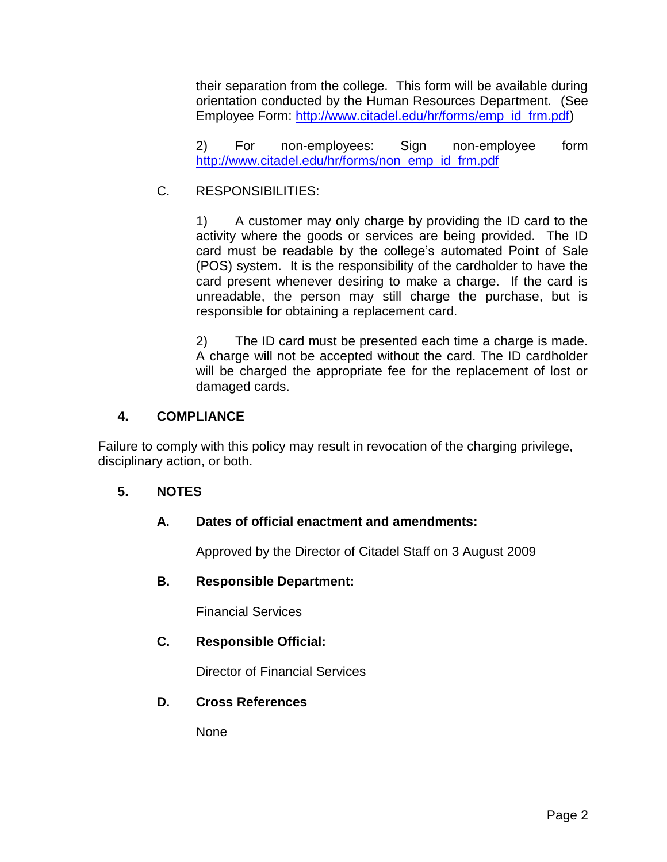their separation from the college. This form will be available during orientation conducted by the Human Resources Department. (See Employee Form: [http://www.citadel.edu/hr/forms/emp\\_id\\_frm.pdf\)](http://www.citadel.edu/hr/forms/emp_id_frm.pdf)

2) For non-employees: Sign non-employee form [http://www.citadel.edu/hr/forms/non\\_emp\\_id\\_frm.pdf](http://www.citadel.edu/hr/forms/non_emp_id_frm.pdf)

## C. RESPONSIBILITIES:

1) A customer may only charge by providing the ID card to the activity where the goods or services are being provided. The ID card must be readable by the college's automated Point of Sale (POS) system. It is the responsibility of the cardholder to have the card present whenever desiring to make a charge. If the card is unreadable, the person may still charge the purchase, but is responsible for obtaining a replacement card.

2) The ID card must be presented each time a charge is made. A charge will not be accepted without the card. The ID cardholder will be charged the appropriate fee for the replacement of lost or damaged cards.

### **4. COMPLIANCE**

Failure to comply with this policy may result in revocation of the charging privilege, disciplinary action, or both.

## **5. NOTES**

## **A. Dates of official enactment and amendments:**

Approved by the Director of Citadel Staff on 3 August 2009

## **B. Responsible Department:**

Financial Services

## **C. Responsible Official:**

Director of Financial Services

#### **D. Cross References**

None